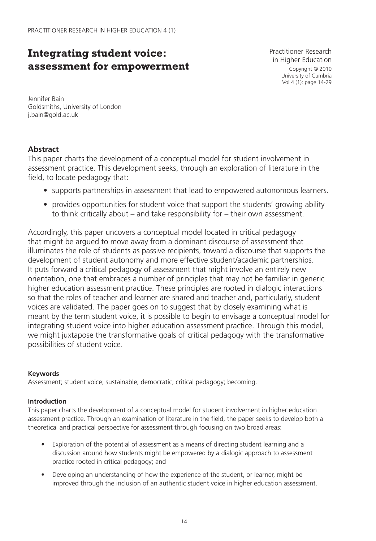# **Integrating student voice: assessment for empowerment**

Practitioner Research in Higher Education Copyright © 2010 University of Cumbria Vol 4 (1): page 14-29

Jennifer Bain Goldsmiths, University of London j.bain@gold.ac.uk

# **Abstract**

This paper charts the development of a conceptual model for student involvement in assessment practice. This development seeks, through an exploration of literature in the field, to locate pedagogy that:

- supports partnerships in assessment that lead to empowered autonomous learners.
- provides opportunities for student voice that support the students' growing ability to think critically about – and take responsibility for – their own assessment.

Accordingly, this paper uncovers a conceptual model located in critical pedagogy that might be argued to move away from a dominant discourse of assessment that illuminates the role of students as passive recipients, toward a discourse that supports the development of student autonomy and more effective student/academic partnerships. It puts forward a critical pedagogy of assessment that might involve an entirely new orientation, one that embraces a number of principles that may not be familiar in generic higher education assessment practice. These principles are rooted in dialogic interactions so that the roles of teacher and learner are shared and teacher and, particularly, student voices are validated. The paper goes on to suggest that by closely examining what is meant by the term student voice, it is possible to begin to envisage a conceptual model for integrating student voice into higher education assessment practice. Through this model, we might juxtapose the transformative goals of critical pedagogy with the transformative possibilities of student voice.

# **Keywords**

Assessment; student voice; sustainable; democratic; critical pedagogy; becoming.

# **Introduction**

This paper charts the development of a conceptual model for student involvement in higher education assessment practice. Through an examination of literature in the field, the paper seeks to develop both a theoretical and practical perspective for assessment through focusing on two broad areas:

- Exploration of the potential of assessment as a means of directing student learning and a discussion around how students might be empowered by a dialogic approach to assessment practice rooted in critical pedagogy; and
- Developing an understanding of how the experience of the student, or learner, might be improved through the inclusion of an authentic student voice in higher education assessment.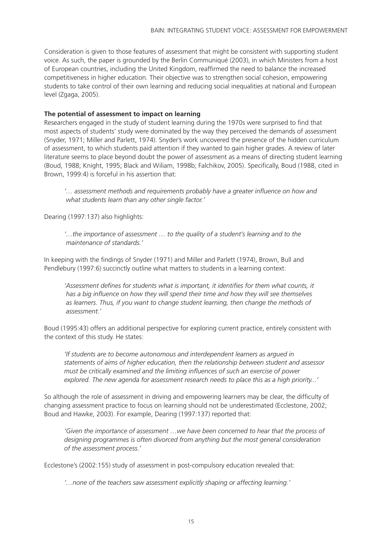Consideration is given to those features of assessment that might be consistent with supporting student voice. As such, the paper is grounded by the Berlin Communiqué (2003), in which Ministers from a host of European countries, including the United Kingdom, reaffirmed the need to balance the increased competitiveness in higher education. Their objective was to strengthen social cohesion, empowering students to take control of their own learning and reducing social inequalities at national and European level (Zgaga, 2005).

#### **The potential of assessment to impact on learning**

Researchers engaged in the study of student learning during the 1970s were surprised to find that most aspects of students' study were dominated by the way they perceived the demands of assessment (Snyder, 1971; Miller and Parlett, 1974). Snyder's work uncovered the presence of the hidden curriculum of assessment, to which students paid attention if they wanted to gain higher grades. A review of later literature seems to place beyond doubt the power of assessment as a means of directing student learning (Boud, 1988; Knight, 1995; Black and Wiliam, 1998b; Falchikov, 2005). Specifically, Boud (1988, cited in Brown, 1999:4) is forceful in his assertion that:

*' … assessment methods and requirements probably have a greater infl uence on how and what students learn than any other single factor.'* 

Dearing (1997:137) also highlights:

*' …the importance of assessment … to the quality of a student's learning and to the maintenance of standards.'* 

In keeping with the findings of Snyder (1971) and Miller and Parlett (1974), Brown, Bull and Pendlebury (1997:6) succinctly outline what matters to students in a learning context:

'Assessment defines for students what is important, it identifies for them what counts, it has a big influence on how they will spend their time and how they will see themselves *as learners. Thus, if you want to change student learning, then change the methods of assessment.'* 

Boud (1995:43) offers an additional perspective for exploring current practice, entirely consistent with the context of this study. He states:

*'If students are to become autonomous and interdependent learners as argued in statements of aims of higher education, then the relationship between student and assessor must be critically examined and the limiting influences of such an exercise of power explored. The new agenda for assessment research needs to place this as a high priority...'*

So although the role of assessment in driving and empowering learners may be clear, the difficulty of changing assessment practice to focus on learning should not be underestimated (Ecclestone, 2002; Boud and Hawke, 2003). For example, Dearing (1997:137) reported that:

*'Given the importance of assessment …we have been concerned to hear that the process of designing programmes is often divorced from anything but the most general consideration of the assessment process.'* 

Ecclestone's (2002:155) study of assessment in post-compulsory education revealed that:

*'…none of the teachers saw assessment explicitly shaping or affecting learning.'*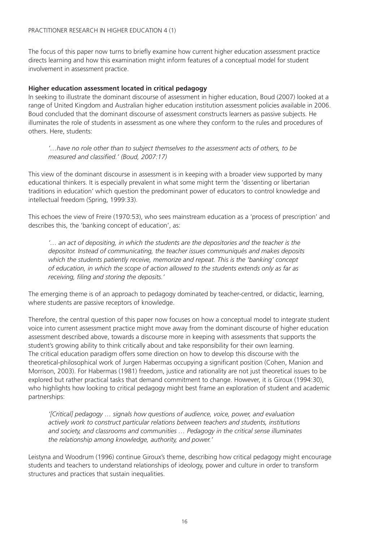The focus of this paper now turns to briefly examine how current higher education assessment practice directs learning and how this examination might inform features of a conceptual model for student involvement in assessment practice.

#### **Higher education assessment located in critical pedagogy**

In seeking to illustrate the dominant discourse of assessment in higher education, Boud (2007) looked at a range of United Kingdom and Australian higher education institution assessment policies available in 2006. Boud concluded that the dominant discourse of assessment constructs learners as passive subjects. He illuminates the role of students in assessment as one where they conform to the rules and procedures of others. Here, students:

*'…have no role other than to subject themselves to the assessment acts of others, to be*  measured and classified.' (Boud, 2007:17)

This view of the dominant discourse in assessment is in keeping with a broader view supported by many educational thinkers. It is especially prevalent in what some might term the 'dissenting or libertarian traditions in education' which question the predominant power of educators to control knowledge and intellectual freedom (Spring, 1999:33).

This echoes the view of Freire (1970:53), who sees mainstream education as a 'process of prescription' and describes this, the 'banking concept of education', as:

*'… an act of depositing, in which the students are the depositories and the teacher is the depositor. Instead of communicating, the teacher issues communiqués and makes deposits which the students patiently receive, memorize and repeat. This is the 'banking' concept of education, in which the scope of action allowed to the students extends only as far as*  receiving, filing and storing the deposits.'

The emerging theme is of an approach to pedagogy dominated by teacher-centred, or didactic, learning, where students are passive receptors of knowledge.

Therefore, the central question of this paper now focuses on how a conceptual model to integrate student voice into current assessment practice might move away from the dominant discourse of higher education assessment described above, towards a discourse more in keeping with assessments that supports the student's growing ability to think critically about and take responsibility for their own learning. The critical education paradigm offers some direction on how to develop this discourse with the theoretical-philosophical work of Jurgen Habermas occupying a significant position (Cohen, Manion and Morrison, 2003). For Habermas (1981) freedom, justice and rationality are not just theoretical issues to be explored but rather practical tasks that demand commitment to change. However, it is Giroux (1994:30), who highlights how looking to critical pedagogy might best frame an exploration of student and academic partnerships:

*'[Critical] pedagogy … signals how questions of audience, voice, power, and evaluation actively work to construct particular relations between teachers and students, institutions and society, and classrooms and communities … Pedagogy in the critical sense illuminates the relationship among knowledge, authority, and power.'*

Leistyna and Woodrum (1996) continue Giroux's theme, describing how critical pedagogy might encourage students and teachers to understand relationships of ideology, power and culture in order to transform structures and practices that sustain inequalities.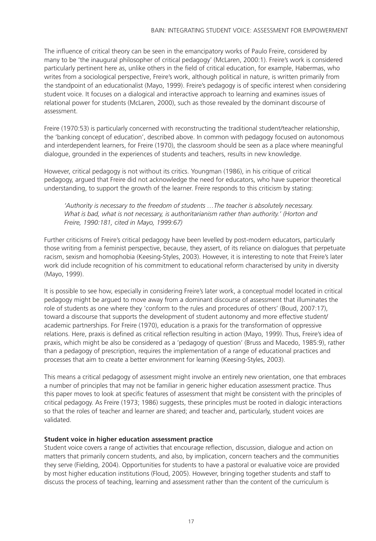The influence of critical theory can be seen in the emancipatory works of Paulo Freire, considered by many to be 'the inaugural philosopher of critical pedagogy' (McLaren, 2000:1). Freire's work is considered particularly pertinent here as, unlike others in the field of critical education, for example, Habermas, who writes from a sociological perspective, Freire's work, although political in nature, is written primarily from the standpoint of an educationalist (Mayo, 1999). Freire's pedagogy is of specific interest when considering student voice. It focuses on a dialogical and interactive approach to learning and examines issues of relational power for students (McLaren, 2000), such as those revealed by the dominant discourse of assessment.

Freire (1970:53) is particularly concerned with reconstructing the traditional student/teacher relationship, the 'banking concept of education', described above. In common with pedagogy focused on autonomous and interdependent learners, for Freire (1970), the classroom should be seen as a place where meaningful dialogue, grounded in the experiences of students and teachers, results in new knowledge.

However, critical pedagogy is not without its critics. Youngman (1986), in his critique of critical pedagogy, argued that Freire did not acknowledge the need for educators, who have superior theoretical understanding, to support the growth of the learner. Freire responds to this criticism by stating:

*'Authority is necessary to the freedom of students …The teacher is absolutely necessary. What is bad, what is not necessary, is authoritarianism rather than authority.' (Horton and Freire, 1990:181, cited in Mayo, 1999:67)*

Further criticisms of Freire's critical pedagogy have been levelled by post-modern educators, particularly those writing from a feminist perspective, because, they assert, of its reliance on dialogues that perpetuate racism, sexism and homophobia (Keesing-Styles, 2003). However, it is interesting to note that Freire's later work did include recognition of his commitment to educational reform characterised by unity in diversity (Mayo, 1999).

It is possible to see how, especially in considering Freire's later work, a conceptual model located in critical pedagogy might be argued to move away from a dominant discourse of assessment that illuminates the role of students as one where they 'conform to the rules and procedures of others' (Boud, 2007:17), toward a discourse that supports the development of student autonomy and more effective student/ academic partnerships. For Freire (1970), education is a praxis for the transformation of oppressive relations. Here, praxis is defined as critical reflection resulting in action (Mayo, 1999). Thus, Freire's idea of praxis, which might be also be considered as a 'pedagogy of question' (Bruss and Macedo, 1985:9), rather than a pedagogy of prescription, requires the implementation of a range of educational practices and processes that aim to create a better environment for learning (Keesing-Styles, 2003).

This means a critical pedagogy of assessment might involve an entirely new orientation, one that embraces a number of principles that may not be familiar in generic higher education assessment practice. Thus this paper moves to look at specific features of assessment that might be consistent with the principles of critical pedagogy. As Freire (1973; 1986) suggests, these principles must be rooted in dialogic interactions so that the roles of teacher and learner are shared; and teacher and, particularly, student voices are validated.

# **Student voice in higher education assessment practice**

Student voice covers a range of activities that encourage reflection, discussion, dialogue and action on matters that primarily concern students, and also, by implication, concern teachers and the communities they serve (Fielding, 2004). Opportunities for students to have a pastoral or evaluative voice are provided by most higher education institutions (Floud, 2005). However, bringing together students and staff to discuss the process of teaching, learning and assessment rather than the content of the curriculum is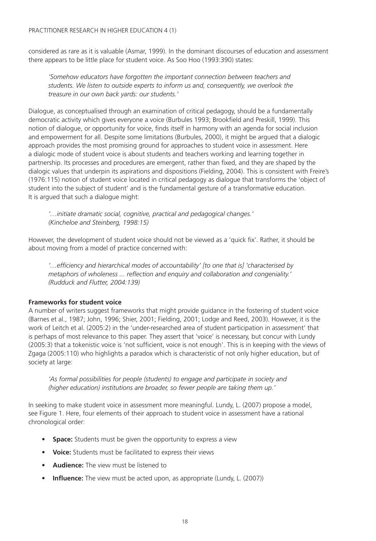considered as rare as it is valuable (Asmar, 1999). In the dominant discourses of education and assessment there appears to be little place for student voice. As Soo Hoo (1993:390) states:

*'Somehow educators have forgotten the important connection between teachers and students. We listen to outside experts to inform us and, consequently, we overlook the treasure in our own back yards: our students.'*

Dialogue, as conceptualised through an examination of critical pedagogy, should be a fundamentally democratic activity which gives everyone a voice (Burbules 1993; Brookfield and Preskill, 1999). This notion of dialogue, or opportunity for voice, finds itself in harmony with an agenda for social inclusion and empowerment for all. Despite some limitations (Burbules, 2000), it might be argued that a dialogic approach provides the most promising ground for approaches to student voice in assessment. Here a dialogic mode of student voice is about students and teachers working and learning together in partnership. Its processes and procedures are emergent, rather than fixed, and they are shaped by the dialogic values that underpin its aspirations and dispositions (Fielding, 2004). This is consistent with Freire's (1976:115) notion of student voice located in critical pedagogy as dialogue that transforms the 'object of student into the subject of student' and is the fundamental gesture of a transformative education. It is argued that such a dialogue might:

*'…initiate dramatic social, cognitive, practical and pedagogical changes.' (Kincheloe and Steinberg, 1998:15)* 

However, the development of student voice should not be viewed as a 'quick fix'. Rather, it should be about moving from a model of practice concerned with:

*'…effi ciency and hierarchical modes of accountability' [to one that is] 'characterised by*  metaphors of wholeness ... reflection and enquiry and collaboration and congeniality.' *(Rudduck and Flutter, 2004:139)*

# **Frameworks for student voice**

A number of writers suggest frameworks that might provide guidance in the fostering of student voice (Barnes et al., 1987; John, 1996; Shier, 2001; Fielding, 2001; Lodge and Reed, 2003). However, it is the work of Leitch et al. (2005:2) in the 'under-researched area of student participation in assessment' that is perhaps of most relevance to this paper. They assert that 'voice' is necessary, but concur with Lundy (2005:3) that a tokenistic voice is 'not sufficient, voice is not enough'. This is in keeping with the views of Zgaga (2005:110) who highlights a paradox which is characteristic of not only higher education, but of society at large:

*'As formal possibilities for people (students) to engage and participate in society and (higher education) institutions are broader, so fewer people are taking them up.'* 

In seeking to make student voice in assessment more meaningful. Lundy, L. (2007) propose a model, see Figure 1. Here, four elements of their approach to student voice in assessment have a rational chronological order:

- **Space:** Students must be given the opportunity to express a view
- **Voice:** Students must be facilitated to express their views
- **Audience:** The view must be listened to
- **Influence:** The view must be acted upon, as appropriate (Lundy, L. (2007))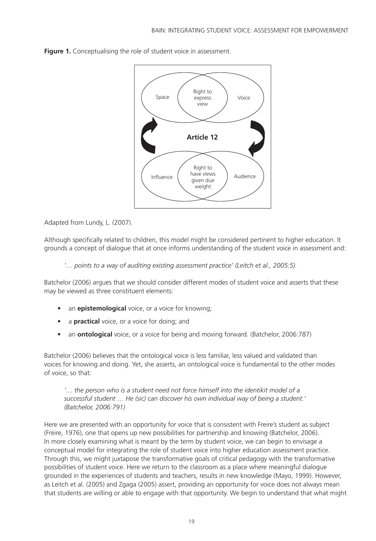

Figure 1. Conceptualising the role of student voice in assessment.

Adapted from Lundy, L. (2007).

Although specifically related to children, this model might be considered pertinent to higher education. It grounds a concept of dialogue that at once informs understanding of the student voice in assessment and:

*'… points to a way of auditing existing assessment practice' (Leitch et al., 2005:5).*

Batchelor (2006) argues that we should consider different modes of student voice and asserts that these may be viewed as three constituent elements:

- an **epistemological** voice, or a voice for knowing;
- a **practical** voice, or a voice for doing; and
- an **ontological** voice, or a voice for being and moving forward. (Batchelor, 2006:787)

Batchelor (2006) believes that the ontological voice is less familiar, less valued and validated than voices for knowing and doing. Yet, she asserts, an ontological voice is fundamental to the other modes of voice, so that:

*'… the person who is a student need not force himself into the identikit model of a successful student … He (sic) can discover his own individual way of being a student.' (Batchelor, 2006:791)* 

Here we are presented with an opportunity for voice that is consistent with Freire's student as subject (Freire, 1976), one that opens up new possibilities for partnership and knowing (Batchelor, 2006). In more closely examining what is meant by the term by student voice, we can begin to envisage a conceptual model for integrating the role of student voice into higher education assessment practice. Through this, we might juxtapose the transformative goals of critical pedagogy with the transformative possibilities of student voice. Here we return to the classroom as a place where meaningful dialogue grounded in the experiences of students and teachers, results in new knowledge (Mayo, 1999). However, as Leitch et al. (2005) and Zgaga (2005) assert, providing an opportunity for voice does not always mean that students are willing or able to engage with that opportunity. We begin to understand that what might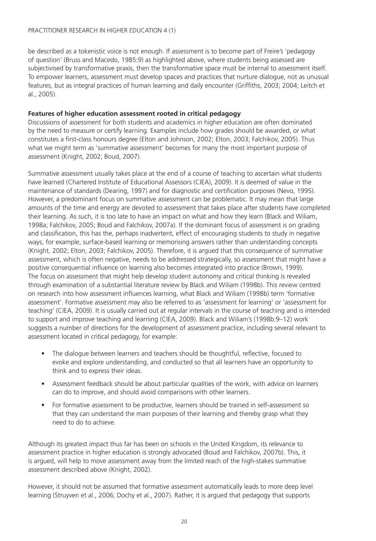be described as a tokenistic voice is not enough. If assessment is to become part of Freire's 'pedagogy of question' (Bruss and Macedo, 1985:9) as highlighted above, where students being assessed are subjectivised by transformative praxis, then the transformative space must be internal to assessment itself. To empower learners, assessment must develop spaces and practices that nurture dialogue, not as unusual features, but as integral practices of human learning and daily encounter (Griffiths, 2003; 2004; Leitch et al., 2005).

# **Features of higher education assessment rooted in critical pedagogy**

Discussions of assessment for both students and academics in higher education are often dominated by the need to measure or certify learning. Examples include how grades should be awarded, or what constitutes a first-class honours degree (Elton and Johnson, 2002; Elton, 2003; Falchikov, 2005). Thus what we might term as 'summative assessment' becomes for many the most important purpose of assessment (Knight, 2002; Boud, 2007).

Summative assessment usually takes place at the end of a course of teaching to ascertain what students have learned (Chartered Institute of Educational Assessors (CIEA), 2009). It is deemed of value in the maintenance of standards (Dearing, 1997) and for diagnostic and certification purposes (Nevo, 1995). However, a predominant focus on summative assessment can be problematic. It may mean that large amounts of the time and energy are devoted to assessment that takes place after students have completed their learning. As such, it is too late to have an impact on what and how they learn (Black and Wiliam, 1998a; Falchikov, 2005; Boud and Falchikov, 2007a). If the dominant focus of assessment is on grading and classification, this has the, perhaps inadvertent, effect of encouraging students to study in negative ways, for example, surface-based learning or memorising answers rather than understanding concepts (Knight, 2002; Elton, 2003; Falchikov, 2005). Therefore, it is argued that this consequence of summative assessment, which is often negative, needs to be addressed strategically, so assessment that might have a positive consequential influence on learning also becomes integrated into practice (Brown, 1999). The focus on assessment that might help develop student autonomy and critical thinking is revealed through examination of a substantial literature review by Black and Wiliam (1998b). This review centred on research into how assessment influences learning, what Black and Wiliam (1998b) term 'formative assessment'. Formative assessment may also be referred to as 'assessment for learning' or 'assessment for teaching' (CIEA, 2009). It is usually carried out at regular intervals in the course of teaching and is intended to support and improve teaching and learning (CIEA, 2009). Black and Wiliam's (1998b:9–12) work suggests a number of directions for the development of assessment practice, including several relevant to assessment located in critical pedagogy, for example:

- The dialogue between learners and teachers should be thoughtful, reflective, focused to evoke and explore understanding, and conducted so that all learners have an opportunity to think and to express their ideas.
- Assessment feedback should be about particular qualities of the work, with advice on learners can do to improve, and should avoid comparisons with other learners.
- For formative assessment to be productive, learners should be trained in self-assessment so that they can understand the main purposes of their learning and thereby grasp what they need to do to achieve.

Although its greatest impact thus far has been on schools in the United Kingdom, its relevance to assessment practice in higher education is strongly advocated (Boud and Falchikov, 2007b). This, it is argued, will help to move assessment away from the limited reach of the high-stakes summative assessment described above (Knight, 2002).

However, it should not be assumed that formative assessment automatically leads to more deep level learning (Struyven et al., 2006; Dochy et al., 2007). Rather, it is argued that pedagogy that supports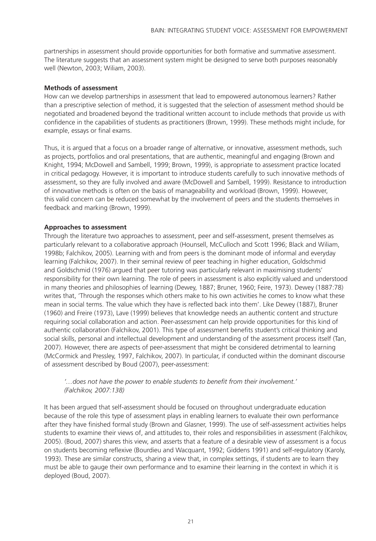partnerships in assessment should provide opportunities for both formative and summative assessment. The literature suggests that an assessment system might be designed to serve both purposes reasonably well (Newton, 2003; Wiliam, 2003).

#### **Methods of assessment**

How can we develop partnerships in assessment that lead to empowered autonomous learners? Rather than a prescriptive selection of method, it is suggested that the selection of assessment method should be negotiated and broadened beyond the traditional written account to include methods that provide us with confidence in the capabilities of students as practitioners (Brown, 1999). These methods might include, for example, essays or final exams.

Thus, it is argued that a focus on a broader range of alternative, or innovative, assessment methods, such as projects, portfolios and oral presentations, that are authentic, meaningful and engaging (Brown and Knight, 1994; McDowell and Sambell, 1999; Brown, 1999), is appropriate to assessment practice located in critical pedagogy. However, it is important to introduce students carefully to such innovative methods of assessment, so they are fully involved and aware (McDowell and Sambell, 1999). Resistance to introduction of innovative methods is often on the basis of manageability and workload (Brown, 1999). However, this valid concern can be reduced somewhat by the involvement of peers and the students themselves in feedback and marking (Brown, 1999).

# **Approaches to assessment**

Through the literature two approaches to assessment, peer and self-assessment, present themselves as particularly relevant to a collaborative approach (Hounsell, McCulloch and Scott 1996; Black and Wiliam, 1998b; Falchikov, 2005). Learning with and from peers is the dominant mode of informal and everyday learning (Falchikov, 2007). In their seminal review of peer teaching in higher education, Goldschmid and Goldschmid (1976) argued that peer tutoring was particularly relevant in maximising students' responsibility for their own learning. The role of peers in assessment is also explicitly valued and understood in many theories and philosophies of learning (Dewey, 1887; Bruner, 1960; Feire, 1973). Dewey (1887:78) writes that, 'Through the responses which others make to his own activities he comes to know what these mean in social terms. The value which they have is reflected back into them'. Like Dewey (1887), Bruner (1960) and Freire (1973), Lave (1999) believes that knowledge needs an authentic content and structure requiring social collaboration and action. Peer-assessment can help provide opportunities for this kind of authentic collaboration (Falchikov, 2001). This type of assessment benefits student's critical thinking and social skills, personal and intellectual development and understanding of the assessment process itself (Tan, 2007). However, there are aspects of peer-assessment that might be considered detrimental to learning (McCormick and Pressley, 1997, Falchikov, 2007). In particular, if conducted within the dominant discourse of assessment described by Boud (2007), peer-assessment:

*'…does not have the power to enable students to benefi t from their involvement.' (Falchikov, 2007:138)*

It has been argued that self-assessment should be focused on throughout undergraduate education because of the role this type of assessment plays in enabling learners to evaluate their own performance after they have finished formal study (Brown and Glasner, 1999). The use of self-assessment activities helps students to examine their views of, and attitudes to, their roles and responsibilities in assessment (Falchikov, 2005). (Boud, 2007) shares this view, and asserts that a feature of a desirable view of assessment is a focus on students becoming reflexive (Bourdieu and Wacquant, 1992; Giddens 1991) and self-regulatory (Karoly, 1993). These are similar constructs, sharing a view that, in complex settings, if students are to learn they must be able to gauge their own performance and to examine their learning in the context in which it is deployed (Boud, 2007).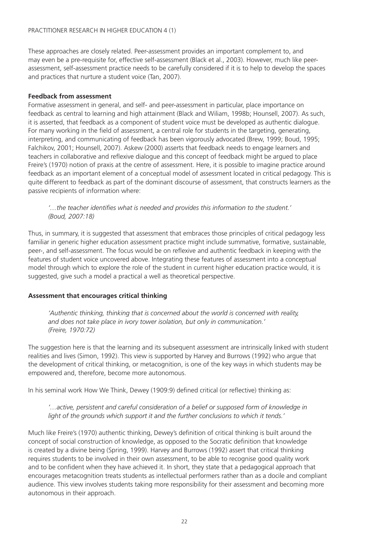These approaches are closely related. Peer-assessment provides an important complement to, and may even be a pre-requisite for, effective self-assessment (Black et al., 2003). However, much like peerassessment, self-assessment practice needs to be carefully considered if it is to help to develop the spaces and practices that nurture a student voice (Tan, 2007).

# **Feedback from assessment**

Formative assessment in general, and self- and peer-assessment in particular, place importance on feedback as central to learning and high attainment (Black and Wiliam, 1998b; Hounsell, 2007). As such, it is asserted, that feedback as a component of student voice must be developed as authentic dialogue. For many working in the field of assessment, a central role for students in the targeting, generating, interpreting, and communicating of feedback has been vigorously advocated (Brew, 1999; Boud, 1995; Falchikov, 2001; Hounsell, 2007). Askew (2000) asserts that feedback needs to engage learners and teachers in collaborative and reflexive dialogue and this concept of feedback might be argued to place Freire's (1970) notion of praxis at the centre of assessment. Here, it is possible to imagine practice around feedback as an important element of a conceptual model of assessment located in critical pedagogy. This is quite different to feedback as part of the dominant discourse of assessment, that constructs learners as the passive recipients of information where:

'...the teacher identifies what is needed and provides this information to the student.' *(Boud, 2007:18)*

Thus, in summary, it is suggested that assessment that embraces those principles of critical pedagogy less familiar in generic higher education assessment practice might include summative, formative, sustainable, peer-, and self-assessment. The focus would be on reflexive and authentic feedback in keeping with the features of student voice uncovered above. Integrating these features of assessment into a conceptual model through which to explore the role of the student in current higher education practice would, it is suggested, give such a model a practical a well as theoretical perspective.

# **Assessment that encourages critical thinking**

*'Authentic thinking, thinking that is concerned about the world is concerned with reality, and does not take place in ivory tower isolation, but only in communication.' (Freire, 1970:72)* 

The suggestion here is that the learning and its subsequent assessment are intrinsically linked with student realities and lives (Simon, 1992). This view is supported by Harvey and Burrows (1992) who argue that the development of critical thinking, or metacognition, is one of the key ways in which students may be empowered and, therefore, become more autonomous.

In his seminal work How We Think, Dewey (1909:9) defined critical (or reflective) thinking as:

# *'…active, persistent and careful consideration of a belief or supposed form of knowledge in light of the grounds which support it and the further conclusions to which it tends.'*

Much like Freire's (1970) authentic thinking, Dewey's definition of critical thinking is built around the concept of social construction of knowledge, as opposed to the Socratic definition that knowledge is created by a divine being (Spring, 1999). Harvey and Burrows (1992) assert that critical thinking requires students to be involved in their own assessment, to be able to recognise good quality work and to be confident when they have achieved it. In short, they state that a pedagogical approach that encourages metacognition treats students as intellectual performers rather than as a docile and compliant audience. This view involves students taking more responsibility for their assessment and becoming more autonomous in their approach.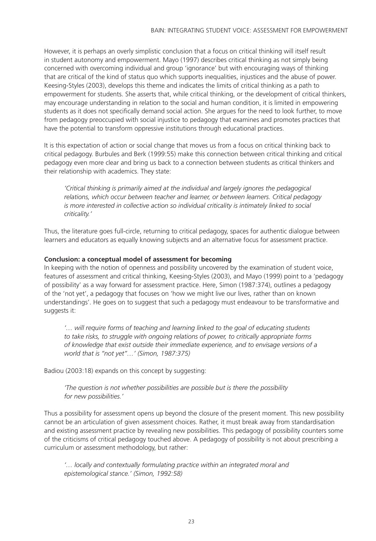However, it is perhaps an overly simplistic conclusion that a focus on critical thinking will itself result in student autonomy and empowerment. Mayo (1997) describes critical thinking as not simply being concerned with overcoming individual and group 'ignorance' but with encouraging ways of thinking that are critical of the kind of status quo which supports inequalities, injustices and the abuse of power. Keesing-Styles (2003), develops this theme and indicates the limits of critical thinking as a path to empowerment for students. She asserts that, while critical thinking, or the development of critical thinkers, may encourage understanding in relation to the social and human condition, it is limited in empowering students as it does not specifically demand social action. She argues for the need to look further, to move from pedagogy preoccupied with social injustice to pedagogy that examines and promotes practices that have the potential to transform oppressive institutions through educational practices.

It is this expectation of action or social change that moves us from a focus on critical thinking back to critical pedagogy. Burbules and Berk (1999:55) make this connection between critical thinking and critical pedagogy even more clear and bring us back to a connection between students as critical thinkers and their relationship with academics. They state:

*'Critical thinking is primarily aimed at the individual and largely ignores the pedagogical relations, which occur between teacher and learner, or between learners. Critical pedagogy is more interested in collective action so individual criticality is intimately linked to social criticality.'*

Thus, the literature goes full-circle, returning to critical pedagogy, spaces for authentic dialogue between learners and educators as equally knowing subjects and an alternative focus for assessment practice.

# **Conclusion: a conceptual model of assessment for becoming**

In keeping with the notion of openness and possibility uncovered by the examination of student voice, features of assessment and critical thinking, Keesing-Styles (2003), and Mayo (1999) point to a 'pedagogy of possibility' as a way forward for assessment practice. Here, Simon (1987:374), outlines a pedagogy of the 'not yet', a pedagogy that focuses on 'how we might live our lives, rather than on known understandings'. He goes on to suggest that such a pedagogy must endeavour to be transformative and suggests it:

*'… will require forms of teaching and learning linked to the goal of educating students to take risks, to struggle with ongoing relations of power, to critically appropriate forms of knowledge that exist outside their immediate experience, and to envisage versions of a world that is "not yet"…' (Simon, 1987:375)*

Badiou (2003:18) expands on this concept by suggesting:

*'The question is not whether possibilities are possible but is there the possibility for new possibilities.'*

Thus a possibility for assessment opens up beyond the closure of the present moment. This new possibility cannot be an articulation of given assessment choices. Rather, it must break away from standardisation and existing assessment practice by revealing new possibilities. This pedagogy of possibility counters some of the criticisms of critical pedagogy touched above. A pedagogy of possibility is not about prescribing a curriculum or assessment methodology, but rather:

*'… locally and contextually formulating practice within an integrated moral and epistemological stance.' (Simon, 1992:58)*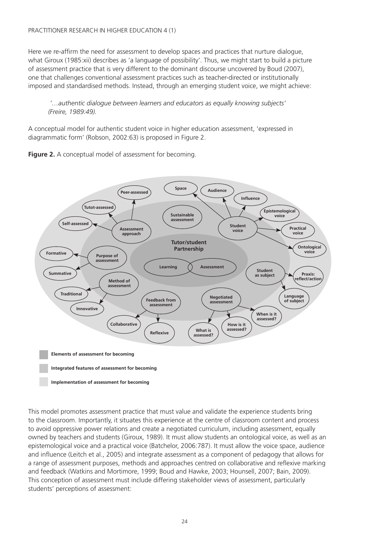Here we re-affirm the need for assessment to develop spaces and practices that nurture dialogue, what Giroux (1985:xii) describes as 'a language of possibility'. Thus, we might start to build a picture of assessment practice that is very different to the dominant discourse uncovered by Boud (2007), one that challenges conventional assessment practices such as teacher-directed or institutionally imposed and standardised methods. Instead, through an emerging student voice, we might achieve:

 *'…authentic dialogue between learners and educators as equally knowing subjects' (Freire, 1989:49).* 

A conceptual model for authentic student voice in higher education assessment, 'expressed in diagrammatic form' (Robson, 2002:63) is proposed in Figure 2.





This model promotes assessment practice that must value and validate the experience students bring to the classroom. Importantly, it situates this experience at the centre of classroom content and process to avoid oppressive power relations and create a negotiated curriculum, including assessment, equally owned by teachers and students (Giroux, 1989). It must allow students an ontological voice, as well as an epistemological voice and a practical voice (Batchelor, 2006:787). It must allow the voice space, audience and influence (Leitch et al., 2005) and integrate assessment as a component of pedagogy that allows for a range of assessment purposes, methods and approaches centred on collaborative and reflexive marking and feedback (Watkins and Mortimore, 1999; Boud and Hawke, 2003; Hounsell, 2007; Bain, 2009). This conception of assessment must include differing stakeholder views of assessment, particularly students' perceptions of assessment: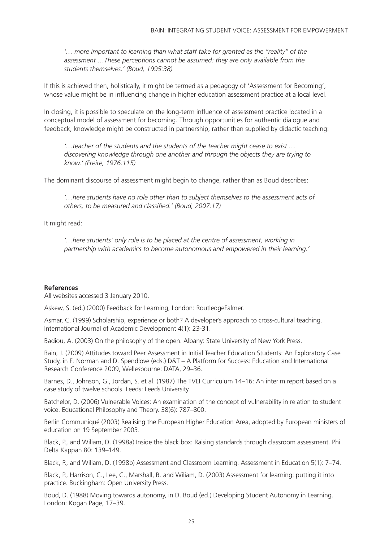*'… more important to learning than what staff take for granted as the "reality" of the assessment …These perceptions cannot be assumed: they are only available from the students themselves.' (Boud, 1995:38)* 

If this is achieved then, holistically, it might be termed as a pedagogy of 'Assessment for Becoming', whose value might be in influencing change in higher education assessment practice at a local level.

In closing, it is possible to speculate on the long-term influence of assessment practice located in a conceptual model of assessment for becoming. Through opportunities for authentic dialogue and feedback, knowledge might be constructed in partnership, rather than supplied by didactic teaching:

*'…teacher of the students and the students of the teacher might cease to exist … discovering knowledge through one another and through the objects they are trying to know.' (Freire, 1976:115)*

The dominant discourse of assessment might begin to change, rather than as Boud describes:

*'…here students have no role other than to subject themselves to the assessment acts of others, to be measured and classified.' (Boud, 2007:17)* 

It might read:

*'…here students' only role is to be placed at the centre of assessment, working in partnership with academics to become autonomous and empowered in their learning.'*

#### **References**

All websites accessed 3 January 2010.

Askew, S. (ed.) (2000) Feedback for Learning, London: RoutledgeFalmer.

Asmar, C. (1999) Scholarship, experience or both? A developer's approach to cross-cultural teaching. International Journal of Academic Development 4(1): 23-31.

Badiou, A. (2003) On the philosophy of the open. Albany: State University of New York Press.

Bain, J. (2009) Attitudes toward Peer Assessment in Initial Teacher Education Students: An Exploratory Case Study, in E. Norman and D. Spendlove (eds.) D&T – A Platform for Success: Education and International Research Conference 2009, Wellesbourne: DATA, 29–36.

Barnes, D., Johnson, G., Jordan, S. et al. (1987) The TVEI Curriculum 14–16: An interim report based on a case study of twelve schools. Leeds: Leeds University.

Batchelor, D. (2006) Vulnerable Voices: An examination of the concept of vulnerability in relation to student voice. Educational Philosophy and Theory. 38(6): 787–800.

Berlin Communiqué (2003) Realising the European Higher Education Area, adopted by European ministers of education on 19 September 2003.

Black, P., and Wiliam, D. (1998a) Inside the black box: Raising standards through classroom assessment. Phi Delta Kappan 80: 139–149.

Black, P., and Wiliam, D. (1998b) Assessment and Classroom Learning. Assessment in Education 5(1): 7–74.

Black, P., Harrison, C., Lee, C., Marshall, B. and Wiliam, D. (2003) Assessment for learning: putting it into practice. Buckingham: Open University Press.

Boud, D. (1988) Moving towards autonomy, in D. Boud (ed.) Developing Student Autonomy in Learning. London: Kogan Page, 17–39.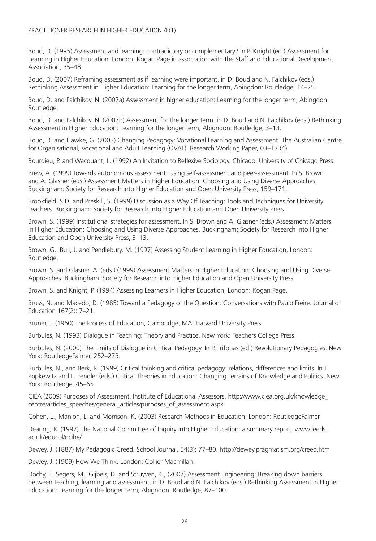Boud, D. (1995) Assessment and learning: contradictory or complementary? In P. Knight (ed.) Assessment for Learning in Higher Education. London: Kogan Page in association with the Staff and Educational Development Association, 35–48.

Boud, D. (2007) Reframing assessment as if learning were important, in D. Boud and N. Falchikov (eds.) Rethinking Assessment in Higher Education: Learning for the longer term, Abingdon: Routledge, 14–25.

Boud, D. and Falchikov, N. (2007a) Assessment in higher education: Learning for the longer term, Abingdon: Routledge.

Boud, D. and Falchikov, N. (2007b) Assessment for the longer term. in D. Boud and N. Falchikov (eds.) Rethinking Assessment in Higher Education: Learning for the longer term, Abigndon: Routledge, 3–13.

Boud, D. and Hawke, G. (2003) Changing Pedagogy: Vocational Learning and Assessment. The Australian Centre for Organisational, Vocational and Adult Learning (OVAL), Research Working Paper, 03–17 (4).

Bourdieu, P. and Wacquant, L. (1992) An Invitation to Reflexive Sociology. Chicago: University of Chicago Press.

Brew, A. (1999) Towards autonomous assessment: Using self-assessment and peer-assessment. In S. Brown and A. Glasner (eds.) Assessment Matters in Higher Education: Choosing and Using Diverse Approaches. Buckingham: Society for Research into Higher Education and Open University Press, 159–171.

Brookfield, S.D. and Preskill, S. (1999) Discussion as a Way Of Teaching: Tools and Techniques for University Teachers. Buckingham: Society for Research into Higher Education and Open University Press.

Brown, S. (1999) Institutional strategies for assessment. In S. Brown and A. Glasner (eds.) Assessment Matters in Higher Education: Choosing and Using Diverse Approaches, Buckingham: Society for Research into Higher Education and Open University Press, 3–13.

Brown, G., Bull, J. and Pendlebury, M. (1997) Assessing Student Learning in Higher Education, London: Routledge.

Brown, S. and Glasner, A. (eds.) (1999) Assessment Matters in Higher Education: Choosing and Using Diverse Approaches. Buckingham: Society for Research into Higher Education and Open University Press.

Brown, S. and Knight, P. (1994) Assessing Learners in Higher Education, London: Kogan Page.

Bruss, N. and Macedo, D. (1985) Toward a Pedagogy of the Question: Conversations with Paulo Freire. Journal of Education 167(2): 7–21.

Bruner, J. (1960) The Process of Education, Cambridge, MA: Harvard University Press.

Burbules, N. (1993) Dialogue in Teaching: Theory and Practice. New York: Teachers College Press.

Burbules, N. (2000) The Limits of Dialogue in Critical Pedagogy. In P. Trifonas (ed.) Revolutionary Pedagogies. New York: RoutledgeFalmer, 252–273.

Burbules, N., and Berk, R. (1999) Critical thinking and critical pedagogy: relations, differences and limits. In T. Popkewitz and L. Fendler (eds.) Critical Theories in Education: Changing Terrains of Knowledge and Politics. New York: Routledge, 45–65.

CIEA (2009) Purposes of Assessment. Institute of Educational Assessors. http://www.ciea.org.uk/knowledge\_ centre/articles\_speeches/general\_articles/purposes\_of\_assessment.aspx

Cohen, L., Manion, L. and Morrison, K. (2003) Research Methods in Education. London: RoutledgeFalmer.

Dearing, R. (1997) The National Committee of Inquiry into Higher Education: a summary report. www.leeds. ac.uk/educol/ncihe/

Dewey, J. (1887) My Pedagogic Creed. School Journal. 54(3): 77–80. http://dewey.pragmatism.org/creed.htm

Dewey, J. (1909) How We Think. London: Collier Macmillan.

Dochy, F., Segers, M., Gijbels, D. and Struyven, K., (2007) Assessment Engineering: Breaking down barriers between teaching, learning and assessment, in D. Boud and N. Falchikov (eds.) Rethinking Assessment in Higher Education: Learning for the longer term, Abigndon: Routledge, 87–100.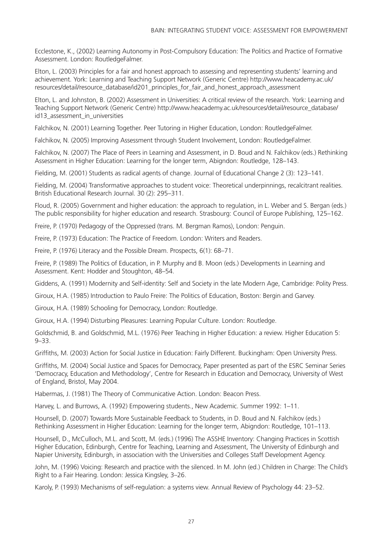Ecclestone, K., (2002) Learning Autonomy in Post-Compulsory Education: The Politics and Practice of Formative Assessment. London: RoutledgeFalmer.

Elton, L. (2003) Principles for a fair and honest approach to assessing and representing students' learning and achievement. York: Learning and Teaching Support Network (Generic Centre) http://www.heacademy.ac.uk/ resources/detail/resource\_database/id201\_principles\_for\_fair\_and\_honest\_approach\_assessment

Elton, L. and Johnston, B. (2002) Assessment in Universities: A critical review of the research. York: Learning and Teaching Support Network (Generic Centre) http://www.heacademy.ac.uk/resources/detail/resource\_database/ id13\_assessment\_in\_universities

Falchikov, N. (2001) Learning Together. Peer Tutoring in Higher Education, London: RoutledgeFalmer.

Falchikov, N. (2005) Improving Assessment through Student Involvement, London: RoutledgeFalmer.

Falchikov, N. (2007) The Place of Peers in Learning and Assessment, in D. Boud and N. Falchikov (eds.) Rethinking Assessment in Higher Education: Learning for the longer term, Abigndon: Routledge, 128–143.

Fielding, M. (2001) Students as radical agents of change. Journal of Educational Change 2 (3): 123–141.

Fielding, M. (2004) Transformative approaches to student voice: Theoretical underpinnings, recalcitrant realities. British Educational Research Journal. 30 (2): 295–311.

Floud, R. (2005) Government and higher education: the approach to regulation, in L. Weber and S. Bergan (eds.) The public responsibility for higher education and research. Strasbourg: Council of Europe Publishing, 125–162.

Freire, P. (1970) Pedagogy of the Oppressed (trans. M. Bergman Ramos), London: Penguin.

Freire, P. (1973) Education: The Practice of Freedom. London: Writers and Readers.

Freire, P. (1976) Literacy and the Possible Dream. Prospects, 6(1): 68–71.

Freire, P. (1989) The Politics of Education, in P. Murphy and B. Moon (eds.) Developments in Learning and Assessment. Kent: Hodder and Stoughton, 48–54.

Giddens, A. (1991) Modernity and Self-identity: Self and Society in the late Modern Age, Cambridge: Polity Press.

Giroux, H.A. (1985) Introduction to Paulo Freire: The Politics of Education, Boston: Bergin and Garvey.

Giroux, H.A. (1989) Schooling for Democracy, London: Routledge.

Giroux, H.A. (1994) Disturbing Pleasures: Learning Popular Culture. London: Routledge.

Goldschmid, B. and Goldschmid, M.L. (1976) Peer Teaching in Higher Education: a review. Higher Education 5: 9–33.

Griffiths, M. (2003) Action for Social Justice in Education: Fairly Different. Buckingham: Open University Press.

Griffiths, M. (2004) Social Justice and Spaces for Democracy, Paper presented as part of the ESRC Seminar Series 'Democracy, Education and Methodology', Centre for Research in Education and Democracy, University of West of England, Bristol, May 2004.

Habermas, J. (1981) The Theory of Communicative Action. London: Beacon Press.

Harvey, L. and Burrows, A. (1992) Empowering students., New Academic. Summer 1992: 1–11.

Hounsell, D. (2007) Towards More Sustainable Feedback to Students, in D. Boud and N. Falchikov (eds.) Rethinking Assessment in Higher Education: Learning for the longer term, Abigndon: Routledge, 101–113.

Hounsell, D., McCulloch, M.L. and Scott, M. (eds.) (1996) The ASSHE Inventory: Changing Practices in Scottish Higher Education, Edinburgh, Centre for Teaching, Learning and Assessment, The University of Edinburgh and Napier University, Edinburgh, in association with the Universities and Colleges Staff Development Agency.

John, M. (1996) Voicing: Research and practice with the silenced. In M. John (ed.) Children in Charge: The Child's Right to a Fair Hearing. London: Jessica Kingsley, 3–26.

Karoly, P. (1993) Mechanisms of self-regulation: a systems view. Annual Review of Psychology 44: 23–52.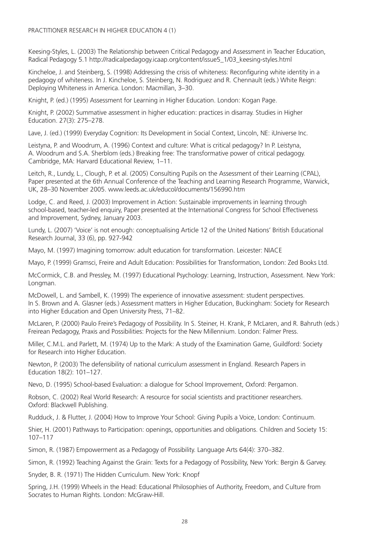Keesing-Styles, L. (2003) The Relationship between Critical Pedagogy and Assessment in Teacher Education, Radical Pedagogy 5.1 http://radicalpedagogy.icaap.org/content/issue5\_1/03\_keesing-styles.html

Kincheloe, J. and Steinberg, S. (1998) Addressing the crisis of whiteness: Reconfiguring white identity in a pedagogy of whiteness. In J. Kincheloe, S. Steinberg, N. Rodriguez and R. Chennault (eds.) White Reign: Deploying Whiteness in America. London: Macmillan, 3–30.

Knight, P. (ed.) (1995) Assessment for Learning in Higher Education. London: Kogan Page.

Knight, P. (2002) Summative assessment in higher education: practices in disarray. Studies in Higher Education. 27(3): 275–278.

Lave, J. (ed.) (1999) Everyday Cognition: Its Development in Social Context, Lincoln, NE: iUniverse Inc.

Leistyna, P. and Woodrum, A. (1996) Context and culture: What is critical pedagogy? In P. Leistyna, A. Woodrum and S.A. Sherblom (eds.) Breaking free: The transformative power of critical pedagogy. Cambridge, MA: Harvard Educational Review, 1–11.

Leitch, R., Lundy, L., Clough, P. et al. (2005) Consulting Pupils on the Assessment of their Learning (CPAL), Paper presented at the 6th Annual Conference of the Teaching and Learning Research Programme, Warwick, UK, 28–30 November 2005. www.leeds.ac.uk/educol/documents/156990.htm

Lodge, C. and Reed, J. (2003) Improvement in Action: Sustainable improvements in learning through school-based, teacher-led enquiry, Paper presented at the International Congress for School Effectiveness and Improvement, Sydney, January 2003.

Lundy, L. (2007) 'Voice' is not enough: conceptualising Article 12 of the United Nations' British Educational Research Journal, 33 (6), pp. 927-942

Mayo, M. (1997) Imagining tomorrow: adult education for transformation. Leicester: NIACE

Mayo, P. (1999) Gramsci, Freire and Adult Education: Possibilities for Transformation, London: Zed Books Ltd.

McCormick, C.B. and Pressley, M. (1997) Educational Psychology: Learning, Instruction, Assessment. New York: Longman.

McDowell, L. and Sambell, K. (1999) The experience of innovative assessment: student perspectives. In S. Brown and A. Glasner (eds.) Assessment matters in Higher Education, Buckingham: Society for Research into Higher Education and Open University Press, 71–82.

McLaren, P. (2000) Paulo Freire's Pedagogy of Possibility. In S. Steiner, H. Krank, P. McLaren, and R. Bahruth (eds.) Freirean Pedagogy, Praxis and Possibilities: Projects for the New Millennium. London: Falmer Press.

Miller, C.M.L. and Parlett, M. (1974) Up to the Mark: A study of the Examination Game, Guildford: Society for Research into Higher Education.

Newton, P. (2003) The defensibility of national curriculum assessment in England. Research Papers in Education 18(2): 101–127.

Nevo, D. (1995) School-based Evaluation: a dialogue for School Improvement, Oxford: Pergamon.

Robson, C. (2002) Real World Research: A resource for social scientists and practitioner researchers. Oxford: Blackwell Publishing.

Rudduck, J. & Flutter, J. (2004) How to Improve Your School: Giving Pupils a Voice, London: Continuum.

Shier, H. (2001) Pathways to Participation: openings, opportunities and obligations. Children and Society 15: 107–117

Simon, R. (1987) Empowerment as a Pedagogy of Possibility. Language Arts 64(4): 370–382.

Simon, R. (1992) Teaching Against the Grain: Texts for a Pedagogy of Possibility, New York: Bergin & Garvey.

Snyder, B. R. (1971) The Hidden Curriculum. New York: Knopf

Spring, J.H. (1999) Wheels in the Head: Educational Philosophies of Authority, Freedom, and Culture from Socrates to Human Rights. London: McGraw-Hill.